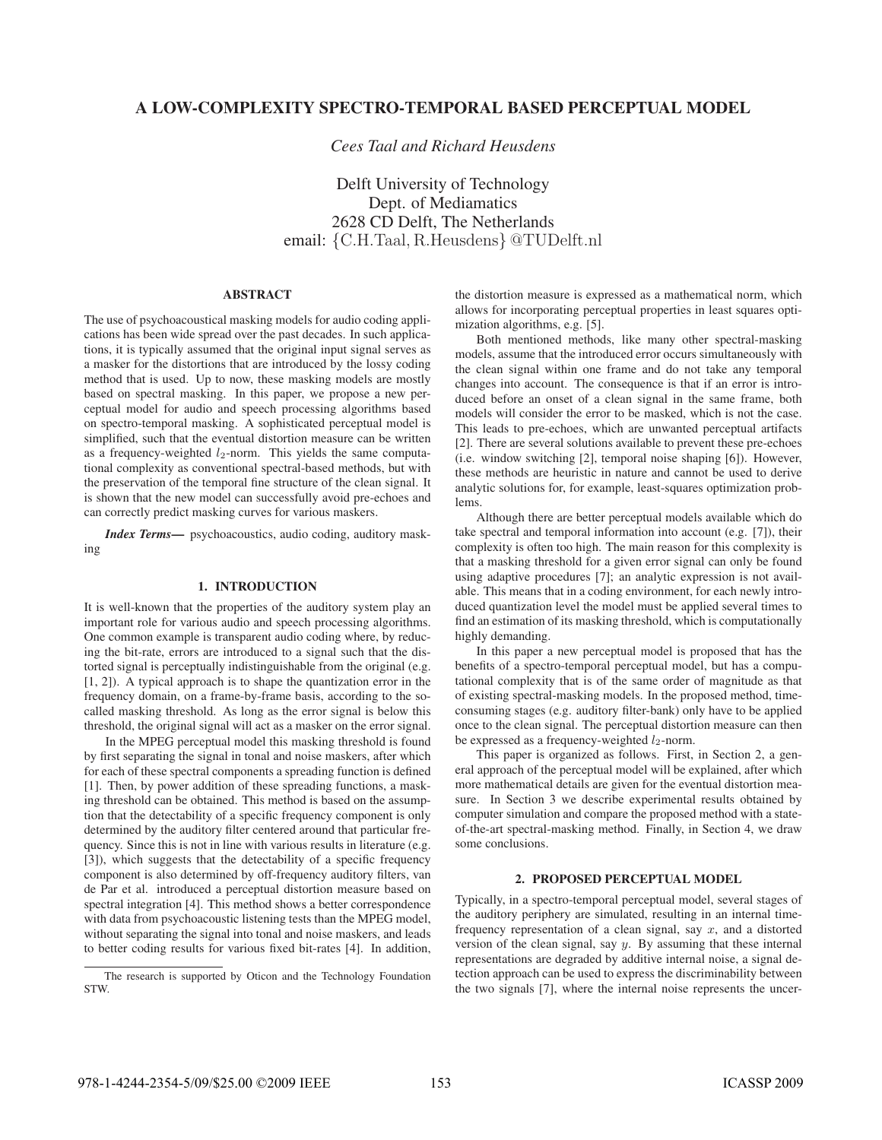# A LOW-COMPLEXITY SPECTRO-TEMPORAL BASED PERCEPTUAL MODEL A LOW-COMPLEXITY SPECTRO-TEMPORAL BASED PERCEPTUAL MODEL

*Cees Taal and Richard Heusdens*

Delft University of Technology Dept. of Mediamatics 2628 CD Delft, The Netherlands email: {C.H.Taal, R.Heusdens} @TUDelft.nl

## **ABSTRACT**

The use of psychoacoustical masking models for audio coding applications has been wide spread over the past decades. In such applications, it is typically assumed that the original input signal serves as a masker for the distortions that are introduced by the lossy coding method that is used. Up to now, these masking models are mostly based on spectral masking. In this paper, we propose a new perceptual model for audio and speech processing algorithms based on spectro-temporal masking. A sophisticated perceptual model is simplified, such that the eventual distortion measure can be written as a frequency-weighted  $l_2$ -norm. This yields the same computational complexity as conventional spectral-based methods, but with the preservation of the temporal fine structure of the clean signal. It is shown that the new model can successfully avoid pre-echoes and can correctly predict masking curves for various maskers.

*Index Terms*— psychoacoustics, audio coding, auditory masking

### 1. INTRODUCTION

It is well-known that the properties of the auditory system play an important role for various audio and speech processing algorithms. One common example is transparent audio coding where, by reducing the bit-rate, errors are introduced to a signal such that the distorted signal is perceptually indistinguishable from the original (e.g. [1, 2]). A typical approach is to shape the quantization error in the frequency domain, on a frame-by-frame basis, according to the socalled masking threshold. As long as the error signal is below this threshold, the original signal will act as a masker on the error signal.

In the MPEG perceptual model this masking threshold is found by first separating the signal in tonal and noise maskers, after which for each of these spectral components a spreading function is defined [1]. Then, by power addition of these spreading functions, a masking threshold can be obtained. This method is based on the assumption that the detectability of a specific frequency component is only determined by the auditory filter centered around that particular frequency. Since this is not in line with various results in literature (e.g. [3]), which suggests that the detectability of a specific frequency component is also determined by off-frequency auditory filters, van de Par et al. introduced a perceptual distortion measure based on spectral integration [4]. This method shows a better correspondence with data from psychoacoustic listening tests than the MPEG model, without separating the signal into tonal and noise maskers, and leads to better coding results for various fixed bit-rates [4]. In addition, the distortion measure is expressed as a mathematical norm, which allows for incorporating perceptual properties in least squares optimization algorithms, e.g. [5].

Both mentioned methods, like many other spectral-masking models, assume that the introduced error occurs simultaneously with the clean signal within one frame and do not take any temporal changes into account. The consequence is that if an error is introduced before an onset of a clean signal in the same frame, both models will consider the error to be masked, which is not the case. This leads to pre-echoes, which are unwanted perceptual artifacts [2]. There are several solutions available to prevent these pre-echoes (i.e. window switching [2], temporal noise shaping [6]). However, these methods are heuristic in nature and cannot be used to derive analytic solutions for, for example, least-squares optimization problems.

Although there are better perceptual models available which do take spectral and temporal information into account (e.g. [7]), their complexity is often too high. The main reason for this complexity is that a masking threshold for a given error signal can only be found using adaptive procedures [7]; an analytic expression is not available. This means that in a coding environment, for each newly introduced quantization level the model must be applied several times to find an estimation of its masking threshold, which is computationally highly demanding.

In this paper a new perceptual model is proposed that has the benefits of a spectro-temporal perceptual model, but has a computational complexity that is of the same order of magnitude as that of existing spectral-masking models. In the proposed method, timeconsuming stages (e.g. auditory filter-bank) only have to be applied once to the clean signal. The perceptual distortion measure can then be expressed as a frequency-weighted  $l_2$ -norm.

This paper is organized as follows. First, in Section 2, a general approach of the perceptual model will be explained, after which more mathematical details are given for the eventual distortion measure. In Section 3 we describe experimental results obtained by computer simulation and compare the proposed method with a stateof-the-art spectral-masking method. Finally, in Section 4, we draw some conclusions.

Typically, in a spectro-temporal perceptual model, several stages of the auditory periphery are simulated, resulting in an internal timefrequency representation of a clean signal, say  $x$ , and a distorted version of the clean signal, say  $y$ . By assuming that these internal representations are degraded by additive internal noise, a signal detection approach can be used to express the discriminability between the two signals [7], where the internal noise represents the uncer-

The research is supported by Oticon and the Technology Foundation STW.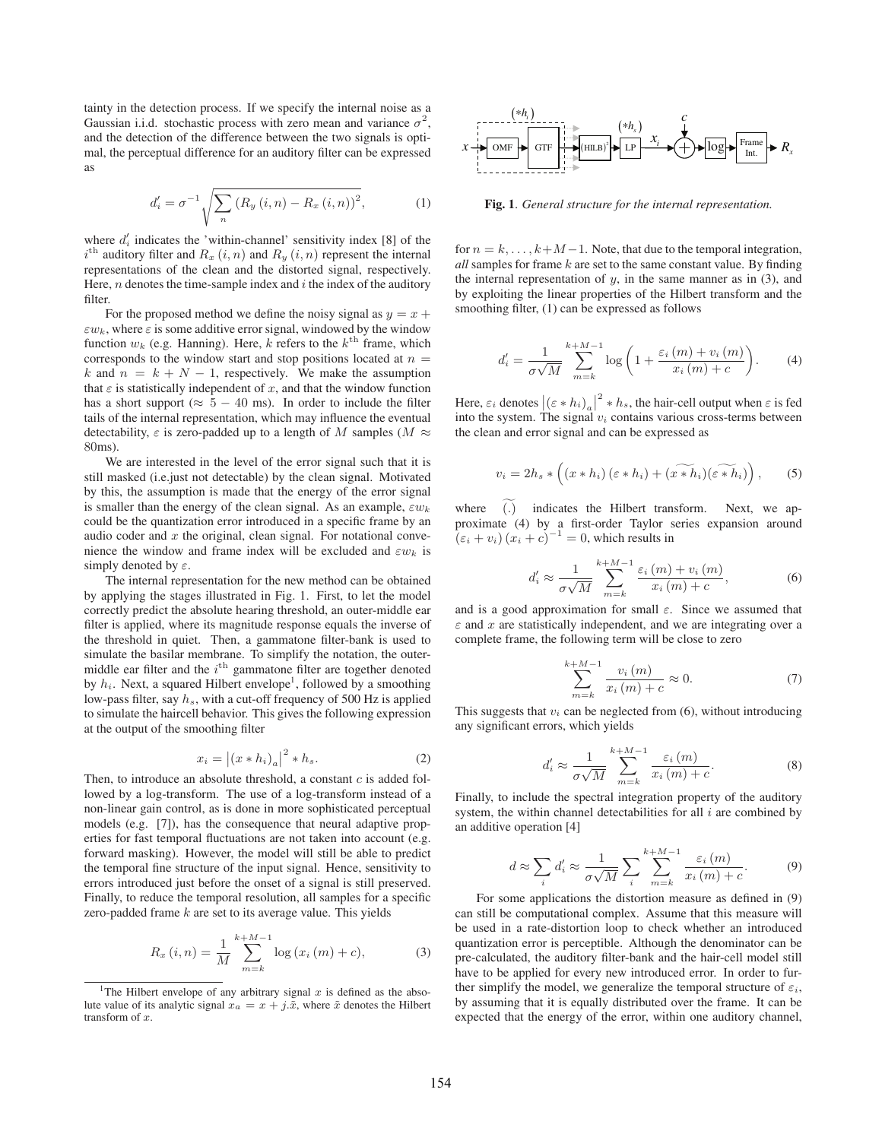tainty in the detection process. If we specify the internal noise as a Gaussian i.i.d. stochastic process with zero mean and variance  $\sigma^2$ , and the detection of the difference between the two signals is optimal, the perceptual difference for an auditory filter can be expressed as

$$
d'_{i} = \sigma^{-1} \sqrt{\sum_{n} (R_{y} (i, n) - R_{x} (i, n))^{2}},
$$
 (1)

where  $d_i$  indicates the 'within-channel' sensitivity index [8] of the  $i<sup>th</sup>$  auditory filter and  $R_x(i, n)$  and  $R_y(i, n)$  represent the internal<br>representations of the clean and the distorted signal respectively representations of the clean and the distorted signal, respectively. Here,  $n$  denotes the time-sample index and  $i$  the index of the auditory filter.

For the proposed method we define the noisy signal as  $y = x +$  $\varepsilon w_k$ , where  $\varepsilon$  is some additive error signal, windowed by the window function  $w_k$  (e.g. Hanning). Here, k refers to the  $k^{\text{th}}$  frame, which corresponds to the window start and stop positions located at  $n =$ k and  $n = k + N - 1$ , respectively. We make the assumption that  $\varepsilon$  is statistically independent of x, and that the window function has a short support ( $\approx$  5 – 40 ms). In order to include the filter tails of the internal representation, which may influence the eventual detectability,  $\varepsilon$  is zero-padded up to a length of M samples ( $M \approx$ 80ms).

We are interested in the level of the error signal such that it is still masked (i.e.just not detectable) by the clean signal. Motivated by this, the assumption is made that the energy of the error signal is smaller than the energy of the clean signal. As an example,  $\varepsilon w_k$ could be the quantization error introduced in a specific frame by an audio coder and  $x$  the original, clean signal. For notational convenience the window and frame index will be excluded and  $\varepsilon w_k$  is simply denoted by  $\varepsilon$ .

The internal representation for the new method can be obtained by applying the stages illustrated in Fig. 1. First, to let the model correctly predict the absolute hearing threshold, an outer-middle ear filter is applied, where its magnitude response equals the inverse of the threshold in quiet. Then, a gammatone filter-bank is used to simulate the basilar membrane. To simplify the notation, the outermiddle ear filter and the  $i<sup>th</sup>$  gammatone filter are together denoted by  $h_i$ . Next, a squared Hilbert envelope<sup>1</sup>, followed by a smoothing low-pass filter, say  $h_s$ , with a cut-off frequency of 500 Hz is applied to simulate the haircell behavior. This gives the following expression at the output of the smoothing filter

$$
x_i = |(x * h_i)_a|^2 * h_s.
$$
 (2)

 $x_i = |(x * h_i)_a|^2 * h_s.$  (2)<br>Then, to introduce an absolute threshold, a constant *c* is added followed by a log-transform. The use of a log-transform instead of a non-linear gain control, as is done in more sophisticated perceptual models (e.g. [7]), has the consequence that neural adaptive properties for fast temporal fluctuations are not taken into account (e.g. forward masking). However, the model will still be able to predict the temporal fine structure of the input signal. Hence, sensitivity to errors introduced just before the onset of a signal is still preserved. Finally, to reduce the temporal resolution, all samples for a specific zero-padded frame  $k$  are set to its average value. This yields

$$
R_x(i, n) = \frac{1}{M} \sum_{m=k}^{k+M-1} \log (x_i(m) + c),
$$
 (3)



Fig. 1. *General structure for the internal representation.*

for  $n = k, \ldots, k+M-1$ . Note, that due to the temporal integration, *all* samples for frame k are set to the same constant value. By finding the internal representation of  $y$ , in the same manner as in  $(3)$ , and by exploiting the linear properties of the Hilbert transform and the smoothing filter, (1) can be expressed as follows

$$
d'_{i} = \frac{1}{\sigma\sqrt{M}} \sum_{m=k}^{k+M-1} \log\left(1 + \frac{\varepsilon_{i}\left(m\right) + v_{i}\left(m\right)}{x_{i}\left(m\right) + c}\right). \tag{4}
$$

Here,  $\varepsilon_i$  denotes  $|(\varepsilon * h_i)_a|^2 * h_s$ , the hair-cell output when  $\varepsilon$  is fed into the system. The signal  $v_i$  contains various cross-terms between the clean and error signal and can be expressed as

$$
v_i = 2h_s * \left( (x * h_i) (\varepsilon * h_i) + \widetilde{(x * h_i)} (\widetilde{\varepsilon * h_i}) \right), \quad (5)
$$

where (.) indicates the Hilbert transform. Next, we approximate (4) by a first-order Taylor series expansion around (.) indicates the Hilbert transform. Next, we ap-<br>(4) by a first-order Taylor series expansion around  $(\varepsilon_i + v_i) (x_i + c)^{-1} = 0$ , which results in

$$
d_i' \approx \frac{1}{\sigma\sqrt{M}} \sum_{m=k}^{k+M-1} \frac{\varepsilon_i(m) + v_i(m)}{x_i(m) + c},
$$
 (6)

and is a good approximation for small  $\varepsilon$ . Since we assumed that  $\varepsilon$  and x are statistically independent, and we are integrating over a complete frame, the following term will be close to zero

$$
\sum_{m=k}^{k+M-1} \frac{v_i(m)}{x_i(m) + c} \approx 0.
$$
 (7)

This suggests that  $v_i$  can be neglected from (6), without introducing any significant errors, which yields

$$
d'_{i} \approx \frac{1}{\sigma\sqrt{M}} \sum_{m=k}^{k+M-1} \frac{\varepsilon_{i}(m)}{x_{i}(m)+c}.
$$
 (8)

Finally, to include the spectral integration property of the auditory system, the within channel detectabilities for all  $i$  are combined by an additive operation [4]

$$
d \approx \sum_{i} d'_{i} \approx \frac{1}{\sigma \sqrt{M}} \sum_{i} \sum_{m=k}^{k+M-1} \frac{\varepsilon_{i}(m)}{x_{i}(m) + c}.
$$
 (9)

For some applications the distortion measure as defined in (9) can still be computational complex. Assume that this measure will be used in a rate-distortion loop to check whether an introduced quantization error is perceptible. Although the denominator can be pre-calculated, the auditory filter-bank and the hair-cell model still have to be applied for every new introduced error. In order to further simplify the model, we generalize the temporal structure of  $\varepsilon_i$ , by assuming that it is equally distributed over the frame. It can be expected that the energy of the error, within one auditory channel,

<sup>&</sup>lt;sup>1</sup>The Hilbert envelope of any arbitrary signal  $x$  is defined as the absolute value of its analytic signal  $x_a = x + j.\tilde{x}$ , where  $\tilde{x}$  denotes the Hilbert transform of x.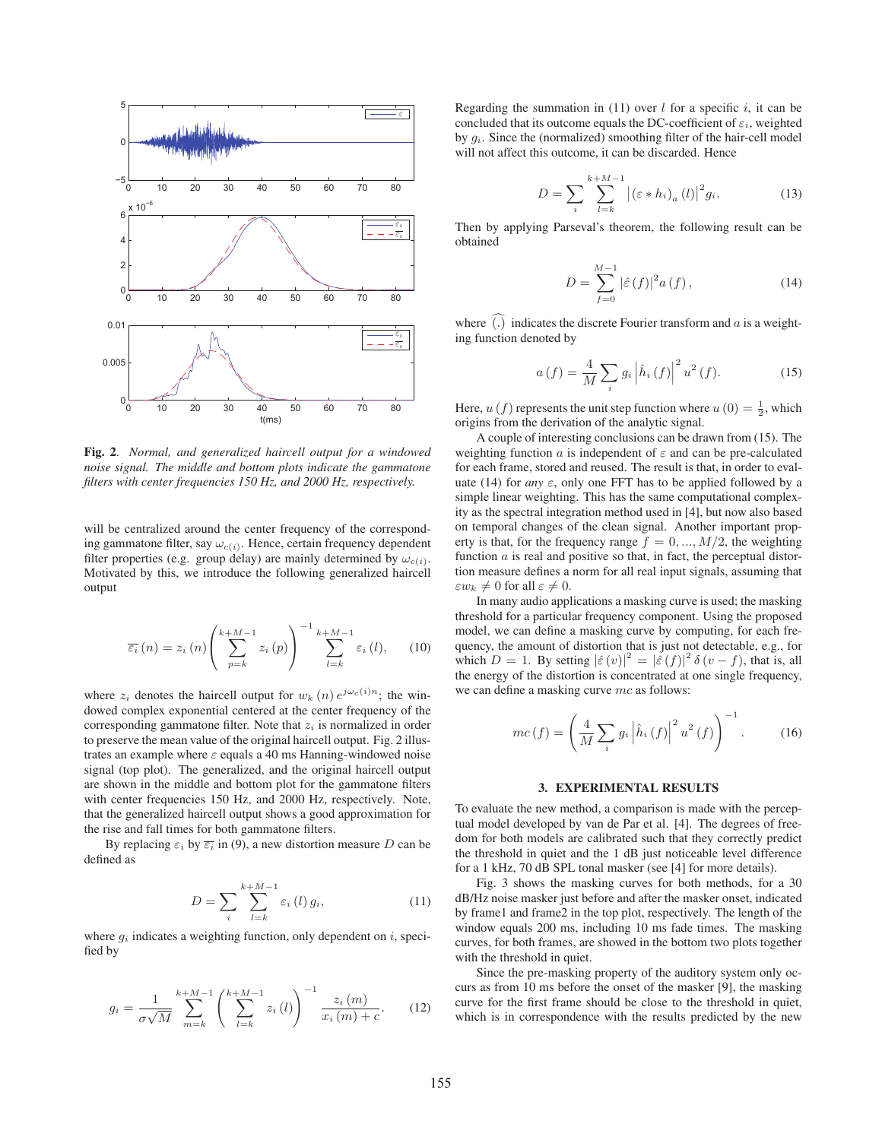

Fig. 2. *Normal, and generalized haircell output for a windowed noise signal. The middle and bottom plots indicate the gammatone filters with center frequencies 150 Hz, and 2000 Hz, respectively.*

will be centralized around the center frequency of the corresponding gammatone filter, say  $\omega_{c(i)}$ . Hence, certain frequency dependent filter properties (e.g. group delay) are mainly determined by  $\omega_{c(i)}$ . Motivated by this, we introduce the following generalized haircell output

$$
\overline{\varepsilon}_{i}(n) = z_{i}(n) \left( \sum_{p=k}^{k+M-1} z_{i}(p) \right)^{-1} \sum_{l=k}^{k+M-1} \varepsilon_{i}(l), \qquad (10)
$$

where  $z_i$  denotes the haircell output for  $w_k(n) e^{j \omega_c(i)n}$ ; the windowed complex exponential centered at the center frequency of the corresponding gammatone filter. Note that  $z_i$  is normalized in order to preserve the mean value of the original haircell output. Fig. 2 illustrates an example where  $\varepsilon$  equals a 40 ms Hanning-windowed noise signal (top plot). The generalized, and the original haircell output are shown in the middle and bottom plot for the gammatone filters with center frequencies 150 Hz, and 2000 Hz, respectively. Note, that the generalized haircell output shows a good approximation for the rise and fall times for both gammatone filters.

By replacing  $\varepsilon_i$  by  $\overline{\varepsilon_i}$  in (9), a new distortion measure D can be defined as

$$
D = \sum_{i} \sum_{l=k}^{k+M-1} \varepsilon_i(l) g_i,
$$
\n(11)

where  $q_i$  indicates a weighting function, only dependent on i, specified by

$$
g_i = \frac{1}{\sigma\sqrt{M}} \sum_{m=k}^{k+M-1} \left( \sum_{l=k}^{k+M-1} z_i(l) \right)^{-1} \frac{z_i(m)}{x_i(m) + c}.
$$
 (12)

Regarding the summation in (11) over  $l$  for a specific  $i$ , it can be concluded that its outcome equals the DC-coefficient of  $\varepsilon_i$ , weighted by  $g_i$ . Since the (normalized) smoothing filter of the hair-cell model will not affect this outcome, it can be discarded. Hence

$$
D = \sum_{i} \sum_{l=k}^{k+M-1} \left| \left( \varepsilon * h_i \right)_a (l) \right|^2 g_i. \tag{13}
$$

Then by applying Parseval's theorem, the following result can be obtained

$$
D = \sum_{f=0}^{M-1} |\hat{\varepsilon}(f)|^2 a(f), \qquad (14)
$$

where  $(.)$  indicates the discrete Fourier transform and  $a$  is a weight-<br>ing function denoted by ing function denoted by

$$
a(f) = \frac{4}{M} \sum_{i} g_i \left| \hat{h}_i(f) \right|^2 u^2(f).
$$
 (15)

Here,  $u(f)$  represents the unit step function where  $u(0) = \frac{1}{2}$ , which origins from the derivation of the analytic signal origins from the derivation of the analytic signal.

A couple of interesting conclusions can be drawn from (15). The weighting function a is independent of  $\varepsilon$  and can be pre-calculated for each frame, stored and reused. The result is that, in order to evaluate (14) for *any*  $\varepsilon$ , only one FFT has to be applied followed by a simple linear weighting. This has the same computational complexity as the spectral integration method used in [4], but now also based on temporal changes of the clean signal. Another important property is that, for the frequency range  $f = 0, ..., M/2$ , the weighting function  $a$  is real and positive so that, in fact, the perceptual distortion measure defines a norm for all real input signals, assuming that  $\varepsilon w_k \neq 0$  for all  $\varepsilon \neq 0$ .

In many audio applications a masking curve is used; the masking threshold for a particular frequency component. Using the proposed model, we can define a masking curve by computing, for each frequency, the amount of distortion that is just not detectable, e.g., for which  $D = 1$ . By setting  $|\hat{\varepsilon}(v)|^2 = |\hat{\varepsilon}(f)|^2 \delta(v - f)$ , that is, all the energy of the distortion is concentrated at one single frequency the energy of the distortion is concentrated at one single frequency, we can define a masking curve mc as follows:

$$
mc(f) = \left(\frac{4}{M}\sum_{i} g_{i} \left|\hat{h}_{i}\left(f\right)\right|^{2} u^{2}\left(f\right)\right)^{-1}.
$$
 (16)

To evaluate the new method, a comparison is made with the perceptual model developed by van de Par et al. [4]. The degrees of freedom for both models are calibrated such that they correctly predict the threshold in quiet and the 1 dB just noticeable level difference for a 1 kHz, 70 dB SPL tonal masker (see [4] for more details).

Fig. 3 shows the masking curves for both methods, for a 30 dB/Hz noise masker just before and after the masker onset, indicated by frame1 and frame2 in the top plot, respectively. The length of the window equals 200 ms, including 10 ms fade times. The masking curves, for both frames, are showed in the bottom two plots together with the threshold in quiet.

Since the pre-masking property of the auditory system only occurs as from 10 ms before the onset of the masker [9], the masking curve for the first frame should be close to the threshold in quiet, which is in correspondence with the results predicted by the new